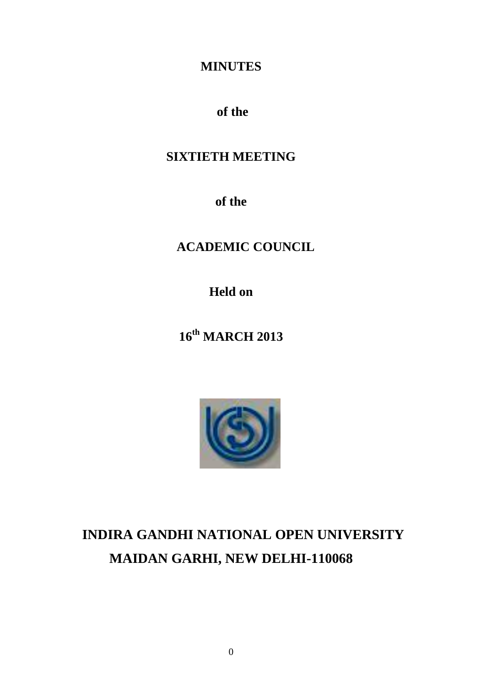# **MINUTES**

# **of the**

# **SIXTIETH MEETING**

**of the**

# **ACADEMIC COUNCIL**

**Held on**

**16th MARCH 2013**



# **INDIRA GANDHI NATIONAL OPEN UNIVERSITY MAIDAN GARHI, NEW DELHI-110068**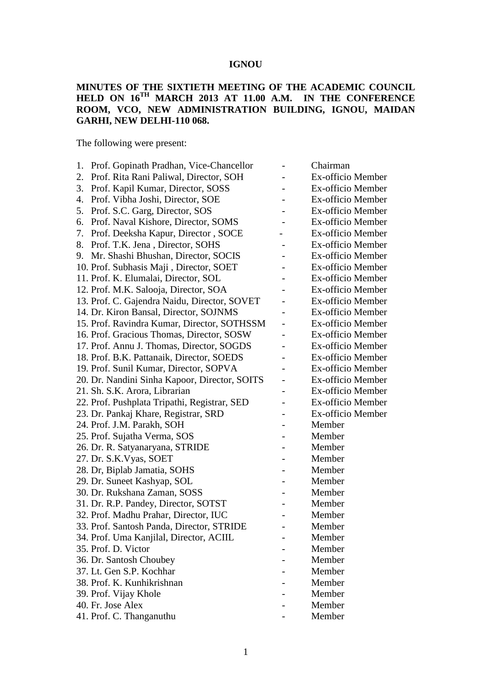#### **IGNOU**

#### **MINUTES OF THE SIXTIETH MEETING OF THE ACADEMIC COUNCIL HELD ON 16 TH MARCH 2013 AT 11.00 A.M. IN THE CONFERENCE ROOM, VCO, NEW ADMINISTRATION BUILDING, IGNOU, MAIDAN GARHI, NEW DELHI-110 068.**

The following were present:

|    | 1. Prof. Gopinath Pradhan, Vice-Chancellor    | Chairman          |
|----|-----------------------------------------------|-------------------|
| 2. | Prof. Rita Rani Paliwal, Director, SOH        | Ex-officio Member |
| 3. | Prof. Kapil Kumar, Director, SOSS             | Ex-officio Member |
| 4. | Prof. Vibha Joshi, Director, SOE              | Ex-officio Member |
| 5. | Prof. S.C. Garg, Director, SOS                | Ex-officio Member |
| 6. | Prof. Naval Kishore, Director, SOMS           | Ex-officio Member |
| 7. | Prof. Deeksha Kapur, Director, SOCE           | Ex-officio Member |
| 8. | Prof. T.K. Jena, Director, SOHS               | Ex-officio Member |
| 9. | Mr. Shashi Bhushan, Director, SOCIS           | Ex-officio Member |
|    | 10. Prof. Subhasis Maji, Director, SOET       | Ex-officio Member |
|    | 11. Prof. K. Elumalai, Director, SOL          | Ex-officio Member |
|    | 12. Prof. M.K. Salooja, Director, SOA         | Ex-officio Member |
|    | 13. Prof. C. Gajendra Naidu, Director, SOVET  | Ex-officio Member |
|    | 14. Dr. Kiron Bansal, Director, SOJNMS        | Ex-officio Member |
|    | 15. Prof. Ravindra Kumar, Director, SOTHSSM   | Ex-officio Member |
|    | 16. Prof. Gracious Thomas, Director, SOSW     | Ex-officio Member |
|    | 17. Prof. Annu J. Thomas, Director, SOGDS     | Ex-officio Member |
|    | 18. Prof. B.K. Pattanaik, Director, SOEDS     | Ex-officio Member |
|    | 19. Prof. Sunil Kumar, Director, SOPVA        | Ex-officio Member |
|    | 20. Dr. Nandini Sinha Kapoor, Director, SOITS | Ex-officio Member |
|    | 21. Sh. S.K. Arora, Librarian                 | Ex-officio Member |
|    | 22. Prof. Pushplata Tripathi, Registrar, SED  | Ex-officio Member |
|    | 23. Dr. Pankaj Khare, Registrar, SRD          | Ex-officio Member |
|    | 24. Prof. J.M. Parakh, SOH                    | Member            |
|    | 25. Prof. Sujatha Verma, SOS                  | Member            |
|    | 26. Dr. R. Satyanaryana, STRIDE               | Member            |
|    | 27. Dr. S.K. Vyas, SOET                       | Member            |
|    | 28. Dr, Biplab Jamatia, SOHS                  | Member            |
|    | 29. Dr. Suneet Kashyap, SOL                   | Member            |
|    | 30. Dr. Rukshana Zaman, SOSS                  | Member            |
|    | 31. Dr. R.P. Pandey, Director, SOTST          | Member            |
|    | 32. Prof. Madhu Prahar, Director, IUC         | Member            |
|    | 33. Prof. Santosh Panda, Director, STRIDE     | Member            |
|    | 34. Prof. Uma Kanjilal, Director, ACIIL       | Member            |
|    | 35. Prof. D. Victor                           | Member            |
|    | 36. Dr. Santosh Choubey                       | Member            |
|    | 37. Lt. Gen S.P. Kochhar                      | Member            |
|    | 38. Prof. K. Kunhikrishnan                    | Member            |
|    | 39. Prof. Vijay Khole                         | Member            |
|    | 40. Fr. Jose Alex                             | Member            |
|    | 41. Prof. C. Thanganuthu                      | Member            |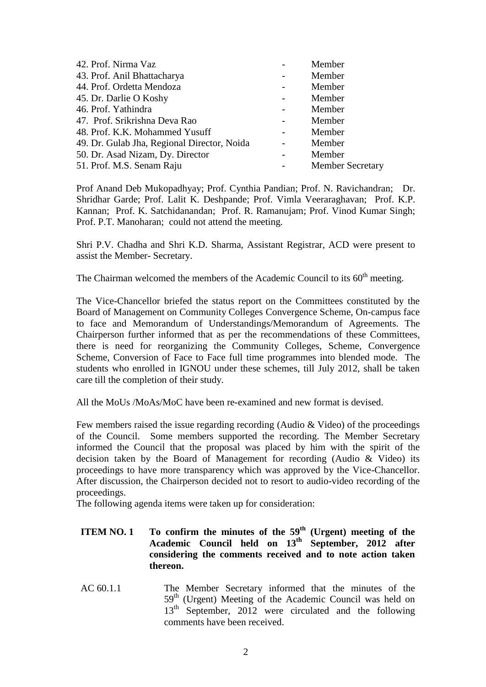| 42. Prof. Nirma Vaz                         | Member                  |
|---------------------------------------------|-------------------------|
| 43. Prof. Anil Bhattacharya                 | Member                  |
| 44. Prof. Ordetta Mendoza                   | Member                  |
| 45. Dr. Darlie O Koshy                      | Member                  |
| 46. Prof. Yathindra                         | Member                  |
| 47. Prof. Srikrishna Deva Rao               | Member                  |
| 48. Prof. K.K. Mohammed Yusuff              | Member                  |
| 49. Dr. Gulab Jha, Regional Director, Noida | Member                  |
| 50. Dr. Asad Nizam, Dy. Director            | Member                  |
| 51. Prof. M.S. Senam Raju                   | <b>Member Secretary</b> |
|                                             |                         |

Prof Anand Deb Mukopadhyay; Prof. Cynthia Pandian; Prof. N. Ravichandran; Dr. Shridhar Garde; Prof. Lalit K. Deshpande; Prof. Vimla Veeraraghavan; Prof. K.P. Kannan; Prof. K. Satchidanandan; Prof. R. Ramanujam; Prof. Vinod Kumar Singh; Prof. P.T. Manoharan; could not attend the meeting.

Shri P.V. Chadha and Shri K.D. Sharma, Assistant Registrar, ACD were present to assist the Member- Secretary.

The Chairman welcomed the members of the Academic Council to its  $60<sup>th</sup>$  meeting.

The Vice-Chancellor briefed the status report on the Committees constituted by the Board of Management on Community Colleges Convergence Scheme, On-campus face to face and Memorandum of Understandings/Memorandum of Agreements. The Chairperson further informed that as per the recommendations of these Committees, there is need for reorganizing the Community Colleges, Scheme, Convergence Scheme, Conversion of Face to Face full time programmes into blended mode. The students who enrolled in IGNOU under these schemes, till July 2012, shall be taken care till the completion of their study.

All the MoUs /MoAs/MoC have been re-examined and new format is devised.

Few members raised the issue regarding recording (Audio & Video) of the proceedings of the Council. Some members supported the recording. The Member Secretary informed the Council that the proposal was placed by him with the spirit of the decision taken by the Board of Management for recording (Audio & Video) its proceedings to have more transparency which was approved by the Vice-Chancellor. After discussion, the Chairperson decided not to resort to audio-video recording of the proceedings.

The following agenda items were taken up for consideration:

- **ITEM NO. 1 To confirm the minutes of the**  $59<sup>th</sup>$  **(Urgent) meeting of the Academic Council held on 13th September, 2012 after considering the comments received and to note action taken thereon.**
- AC 60.1.1 The Member Secretary informed that the minutes of the 59<sup>th</sup> (Urgent) Meeting of the Academic Council was held on 13<sup>th</sup> September, 2012 were circulated and the following comments have been received.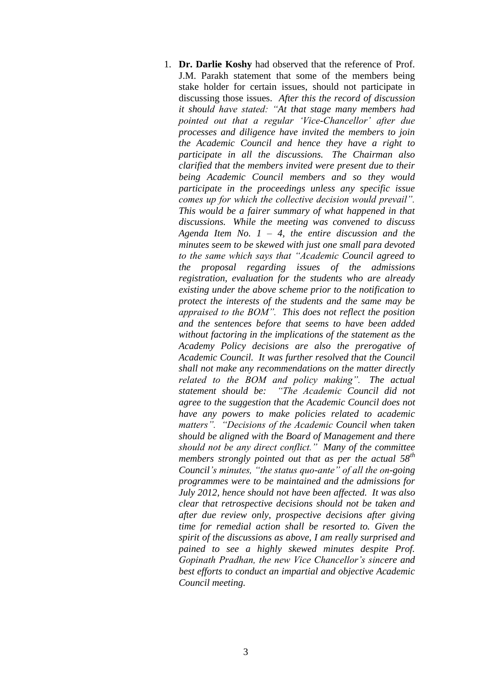1. **Dr. Darlie Koshy** had observed that the reference of Prof. J.M. Parakh statement that some of the members being stake holder for certain issues, should not participate in discussing those issues. *After this the record of discussion it should have stated: "At that stage many members had pointed out that a regular 'Vice-Chancellor' after due processes and diligence have invited the members to join the Academic Council and hence they have a right to participate in all the discussions. The Chairman also clarified that the members invited were present due to their being Academic Council members and so they would participate in the proceedings unless any specific issue comes up for which the collective decision would prevail". This would be a fairer summary of what happened in that discussions. While the meeting was convened to discuss Agenda Item No. 1 – 4, the entire discussion and the minutes seem to be skewed with just one small para devoted to the same which says that "Academic Council agreed to the proposal regarding issues of the admissions registration, evaluation for the students who are already existing under the above scheme prior to the notification to protect the interests of the students and the same may be appraised to the BOM". This does not reflect the position and the sentences before that seems to have been added without factoring in the implications of the statement as the Academy Policy decisions are also the prerogative of Academic Council. It was further resolved that the Council shall not make any recommendations on the matter directly related to the BOM and policy making". The actual statement should be: "The Academic Council did not agree to the suggestion that the Academic Council does not have any powers to make policies related to academic matters". "Decisions of the Academic Council when taken should be aligned with the Board of Management and there should not be any direct conflict." Many of the committee members strongly pointed out that as per the actual 58th Council's minutes, "the status quo-ante" of all the on-going programmes were to be maintained and the admissions for July 2012, hence should not have been affected. It was also clear that retrospective decisions should not be taken and after due review only, prospective decisions after giving time for remedial action shall be resorted to. Given the spirit of the discussions as above, I am really surprised and pained to see a highly skewed minutes despite Prof. Gopinath Pradhan, the new Vice Chancellor's sincere and best efforts to conduct an impartial and objective Academic Council meeting.*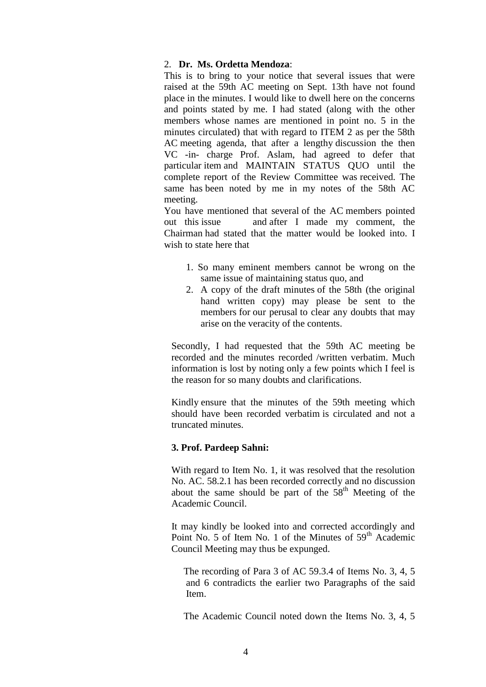#### 2. **Dr. Ms. Ordetta Mendoza**:

This is to bring to your notice that several issues that were raised at the 59th AC meeting on Sept. 13th have not found place in the minutes. I would like to dwell here on the concerns and points stated by me. I had stated (along with the other members whose names are mentioned in point no. 5 in the minutes circulated) that with regard to ITEM 2 as per the 58th AC meeting agenda, that after a lengthy discussion the then VC -in- charge Prof. Aslam, had agreed to defer that particular item and MAINTAIN STATUS QUO until the complete report of the Review Committee was received. The same has been noted by me in my notes of the 58th AC meeting.

You have mentioned that several of the AC members pointed out this issue and after I made my comment, the Chairman had stated that the matter would be looked into. I wish to state here that

- 1. So many eminent members cannot be wrong on the same issue of maintaining status quo, and
- 2. A copy of the draft minutes of the 58th (the original hand written copy) may please be sent to the members for our perusal to clear any doubts that may arise on the veracity of the contents.

Secondly, I had requested that the 59th AC meeting be recorded and the minutes recorded /written verbatim. Much information is lost by noting only a few points which I feel is the reason for so many doubts and clarifications.

Kindly ensure that the minutes of the 59th meeting which should have been recorded verbatim is circulated and not a truncated minutes.

#### **3. Prof. Pardeep Sahni:**

With regard to Item No. 1, it was resolved that the resolution No. AC. 58.2.1 has been recorded correctly and no discussion about the same should be part of the  $58<sup>th</sup>$  Meeting of the Academic Council.

 It may kindly be looked into and corrected accordingly and Point No. 5 of Item No. 1 of the Minutes of  $59<sup>th</sup>$  Academic Council Meeting may thus be expunged.

 The recording of Para 3 of AC 59.3.4 of Items No. 3, 4, 5 and 6 contradicts the earlier two Paragraphs of the said Item.

The Academic Council noted down the Items No. 3, 4, 5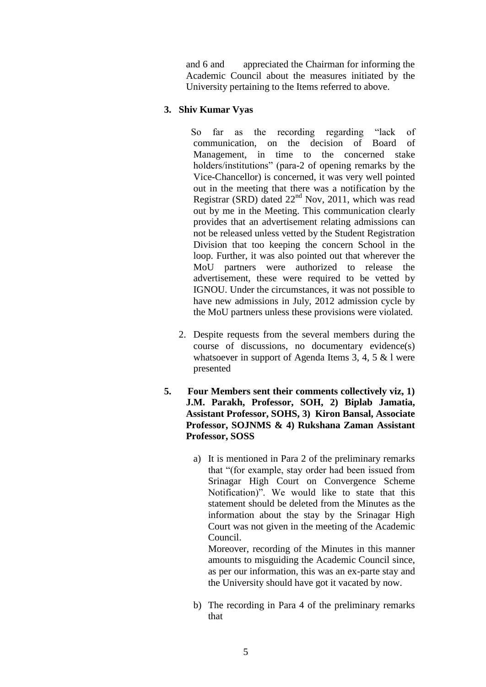and 6 and appreciated the Chairman for informing the Academic Council about the measures initiated by the University pertaining to the Items referred to above.

# **3. Shiv Kumar Vyas**

 So far as the recording regarding "lack of communication, on the decision of Board of Management, in time to the concerned stake holders/institutions" (para-2 of opening remarks by the Vice-Chancellor) is concerned, it was very well pointed out in the meeting that there was a notification by the Registrar (SRD) dated  $22<sup>nd</sup>$  Nov, 2011, which was read out by me in the Meeting. This communication clearly provides that an advertisement relating admissions can not be released unless vetted by the Student Registration Division that too keeping the concern School in the loop. Further, it was also pointed out that wherever the MoU partners were authorized to release the advertisement, these were required to be vetted by IGNOU. Under the circumstances, it was not possible to have new admissions in July, 2012 admission cycle by the MoU partners unless these provisions were violated.

- 2. Despite requests from the several members during the course of discussions, no documentary evidence(s) whatsoever in support of Agenda Items 3, 4, 5 & l were presented
- **5. Four Members sent their comments collectively viz, 1) J.M. Parakh, Professor, SOH, 2) Biplab Jamatia, Assistant Professor, SOHS, 3) Kiron Bansal, Associate Professor, SOJNMS & 4) Rukshana Zaman Assistant Professor, SOSS**
	- a) It is mentioned in Para 2 of the preliminary remarks that "(for example, stay order had been issued from Srinagar High Court on Convergence Scheme Notification)". We would like to state that this statement should be deleted from the Minutes as the information about the stay by the Srinagar High Court was not given in the meeting of the Academic Council.

Moreover, recording of the Minutes in this manner amounts to misguiding the Academic Council since, as per our information, this was an ex-parte stay and the University should have got it vacated by now.

b) The recording in Para 4 of the preliminary remarks that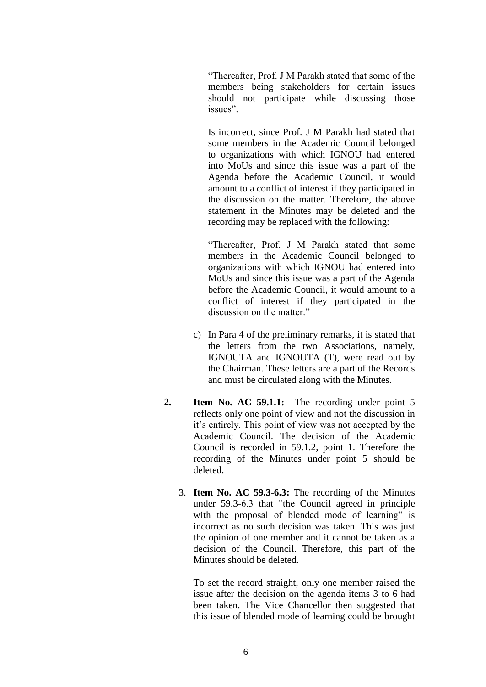"Thereafter, Prof. J M Parakh stated that some of the members being stakeholders for certain issues should not participate while discussing those issues".

Is incorrect, since Prof. J M Parakh had stated that some members in the Academic Council belonged to organizations with which IGNOU had entered into MoUs and since this issue was a part of the Agenda before the Academic Council, it would amount to a conflict of interest if they participated in the discussion on the matter. Therefore, the above statement in the Minutes may be deleted and the recording may be replaced with the following:

"Thereafter, Prof. J M Parakh stated that some members in the Academic Council belonged to organizations with which IGNOU had entered into MoUs and since this issue was a part of the Agenda before the Academic Council, it would amount to a conflict of interest if they participated in the discussion on the matter."

- c) In Para 4 of the preliminary remarks, it is stated that the letters from the two Associations, namely, IGNOUTA and IGNOUTA (T), were read out by the Chairman. These letters are a part of the Records and must be circulated along with the Minutes.
- **2. Item No. AC 59.1.1:** The recording under point 5 reflects only one point of view and not the discussion in it's entirely. This point of view was not accepted by the Academic Council. The decision of the Academic Council is recorded in 59.1.2, point 1. Therefore the recording of the Minutes under point 5 should be deleted.
	- 3. **Item No. AC 59.3-6.3:** The recording of the Minutes under 59.3-6.3 that "the Council agreed in principle with the proposal of blended mode of learning" is incorrect as no such decision was taken. This was just the opinion of one member and it cannot be taken as a decision of the Council. Therefore, this part of the Minutes should be deleted.

To set the record straight, only one member raised the issue after the decision on the agenda items 3 to 6 had been taken. The Vice Chancellor then suggested that this issue of blended mode of learning could be brought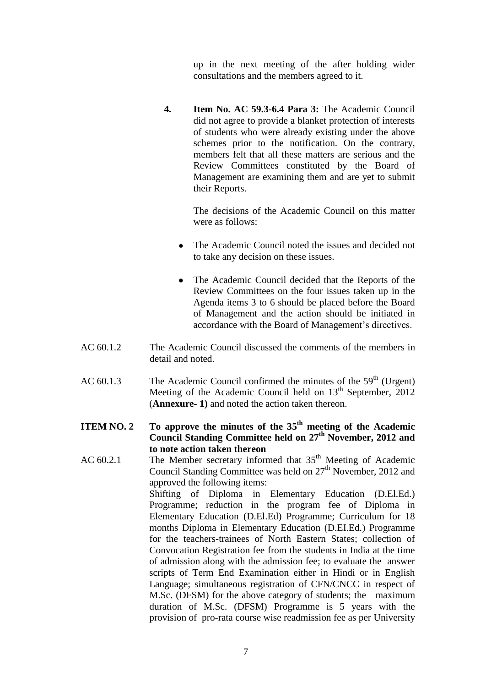up in the next meeting of the after holding wider consultations and the members agreed to it.

**4. Item No. AC 59.3-6.4 Para 3:** The Academic Council did not agree to provide a blanket protection of interests of students who were already existing under the above schemes prior to the notification. On the contrary, members felt that all these matters are serious and the Review Committees constituted by the Board of Management are examining them and are yet to submit their Reports.

> The decisions of the Academic Council on this matter were as follows:

- The Academic Council noted the issues and decided not  $\bullet$ to take any decision on these issues.
- The Academic Council decided that the Reports of the  $\bullet$ Review Committees on the four issues taken up in the Agenda items 3 to 6 should be placed before the Board of Management and the action should be initiated in accordance with the Board of Management's directives.
- AC 60.1.2 The Academic Council discussed the comments of the members in detail and noted.
- AC  $60.1.3$  The Academic Council confirmed the minutes of the  $59<sup>th</sup>$  (Urgent) Meeting of the Academic Council held on  $13<sup>th</sup>$  September, 2012 (**Annexure- 1)** and noted the action taken thereon.
- **ITEM NO. 2** To approve the minutes of the  $35<sup>th</sup>$  meeting of the Academic **Council Standing Committee held on 27th November, 2012 and to note action taken thereon**

AC  $60.2.1$  The Member secretary informed that  $35<sup>th</sup>$  Meeting of Academic Council Standing Committee was held on 27<sup>th</sup> November, 2012 and approved the following items: Shifting of Diploma in Elementary Education (D.El.Ed.) Programme; reduction in the program fee of Diploma in Elementary Education (D.El.Ed) Programme; Curriculum for 18 months Diploma in Elementary Education (D.EI.Ed.) Programme for the teachers-trainees of North Eastern States; collection of Convocation Registration fee from the students in India at the time of admission along with the admission fee; to evaluate the answer scripts of Term End Examination either in Hindi or in English Language; simultaneous registration of CFN/CNCC in respect of M.Sc. (DFSM) for the above category of students; the maximum duration of M.Sc. (DFSM) Programme is 5 years with the provision of pro-rata course wise readmission fee as per University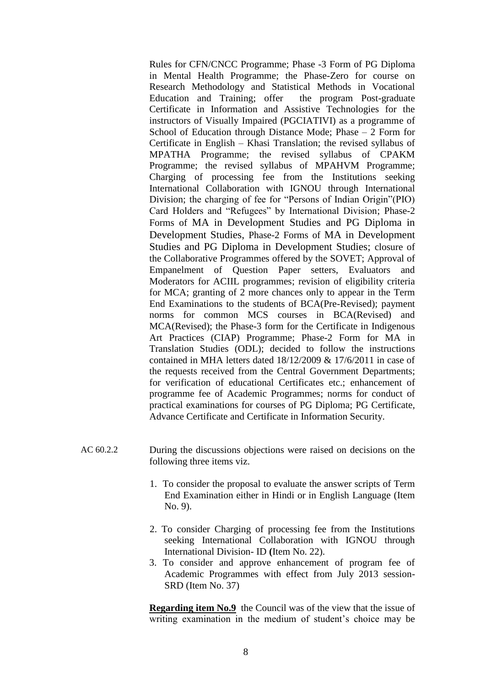Rules for CFN/CNCC Programme; Phase -3 Form of PG Diploma in Mental Health Programme; the Phase-Zero for course on Research Methodology and Statistical Methods in Vocational Education and Training; offer the program Post-graduate Certificate in Information and Assistive Technologies for the instructors of Visually Impaired (PGCIATIVI) as a programme of School of Education through Distance Mode; Phase – 2 Form for Certificate in English – Khasi Translation; the revised syllabus of MPATHA Programme; the revised syllabus of CPAKM Programme; the revised syllabus of MPAHVM Programme; Charging of processing fee from the Institutions seeking International Collaboration with IGNOU through International Division; the charging of fee for "Persons of Indian Origin"(PIO) Card Holders and "Refugees" by International Division; Phase-2 Forms of MA in Development Studies and PG Diploma in Development Studies, Phase-2 Forms of MA in Development Studies and PG Diploma in Development Studies; closure of the Collaborative Programmes offered by the SOVET; Approval of Empanelment of Question Paper setters, Evaluators and Moderators for ACIIL programmes; revision of eligibility criteria for MCA; granting of 2 more chances only to appear in the Term End Examinations to the students of BCA(Pre-Revised); payment norms for common MCS courses in BCA(Revised) and MCA(Revised); the Phase-3 form for the Certificate in Indigenous Art Practices (CIAP) Programme; Phase-2 Form for MA in Translation Studies (ODL); decided to follow the instructions contained in MHA letters dated 18/12/2009 & 17/6/2011 in case of the requests received from the Central Government Departments; for verification of educational Certificates etc.; enhancement of programme fee of Academic Programmes; norms for conduct of practical examinations for courses of PG Diploma; PG Certificate, Advance Certificate and Certificate in Information Security.

- AC 60.2.2 During the discussions objections were raised on decisions on the following three items viz.
	- 1. To consider the proposal to evaluate the answer scripts of Term End Examination either in Hindi or in English Language (Item No. 9).
	- 2. To consider Charging of processing fee from the Institutions seeking International Collaboration with IGNOU through International Division- ID **(**Item No. 22).
	- 3. To consider and approve enhancement of program fee of Academic Programmes with effect from July 2013 session-SRD (Item No. 37)

**Regarding item No.9** the Council was of the view that the issue of writing examination in the medium of student's choice may be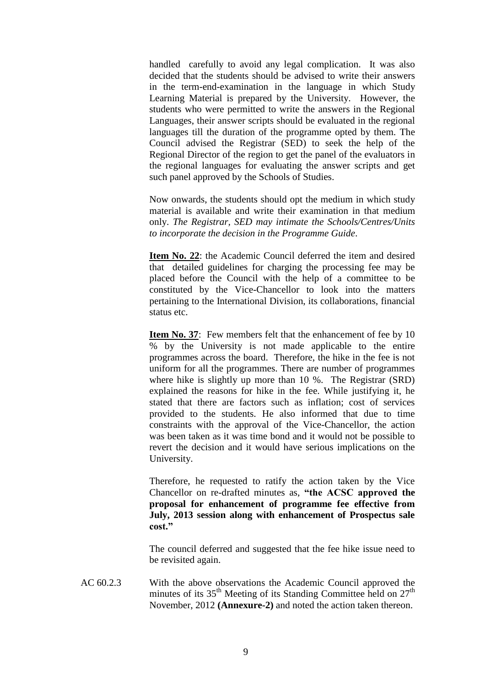handled carefully to avoid any legal complication. It was also decided that the students should be advised to write their answers in the term-end-examination in the language in which Study Learning Material is prepared by the University. However, the students who were permitted to write the answers in the Regional Languages, their answer scripts should be evaluated in the regional languages till the duration of the programme opted by them. The Council advised the Registrar (SED) to seek the help of the Regional Director of the region to get the panel of the evaluators in the regional languages for evaluating the answer scripts and get such panel approved by the Schools of Studies.

Now onwards, the students should opt the medium in which study material is available and write their examination in that medium only. *The Registrar, SED may intimate the Schools/Centres/Units to incorporate the decision in the Programme Guide*.

**Item No. 22**: the Academic Council deferred the item and desired that detailed guidelines for charging the processing fee may be placed before the Council with the help of a committee to be constituted by the Vice-Chancellor to look into the matters pertaining to the International Division, its collaborations, financial status etc.

**Item No. 37:** Few members felt that the enhancement of fee by 10 % by the University is not made applicable to the entire programmes across the board. Therefore, the hike in the fee is not uniform for all the programmes. There are number of programmes where hike is slightly up more than 10 %. The Registrar (SRD) explained the reasons for hike in the fee. While justifying it, he stated that there are factors such as inflation; cost of services provided to the students. He also informed that due to time constraints with the approval of the Vice-Chancellor, the action was been taken as it was time bond and it would not be possible to revert the decision and it would have serious implications on the University.

Therefore, he requested to ratify the action taken by the Vice Chancellor on re-drafted minutes as, **"the ACSC approved the proposal for enhancement of programme fee effective from July, 2013 session along with enhancement of Prospectus sale cost."**

The council deferred and suggested that the fee hike issue need to be revisited again.

AC 60.2.3 With the above observations the Academic Council approved the minutes of its  $35<sup>th</sup>$  Meeting of its Standing Committee held on  $27<sup>th</sup>$ November, 2012 **(Annexure-2)** and noted the action taken thereon.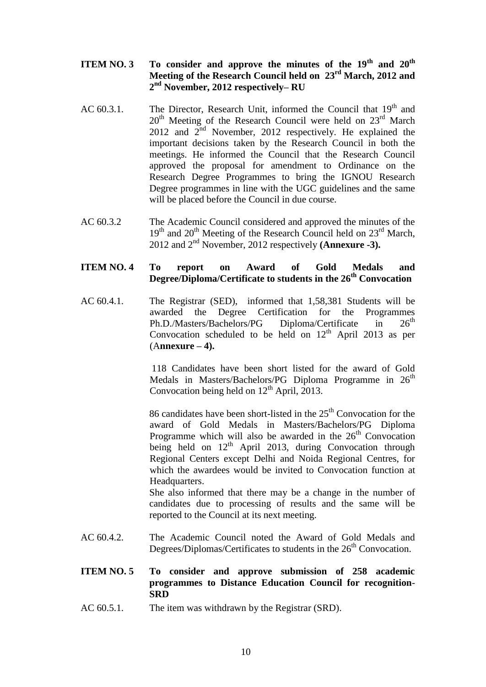# **ITEM NO. 3 To consider and approve the minutes of the 19th and 20th Meeting of the Research Council held on 23rd March, 2012 and 2 nd November, 2012 respectively– RU**

- AC  $60.3.1$ . The Director, Research Unit, informed the Council that  $19<sup>th</sup>$  and  $20<sup>th</sup>$  Meeting of the Research Council were held on  $23<sup>rd</sup>$  March 2012 and  $2<sup>nd</sup>$  November, 2012 respectively. He explained the important decisions taken by the Research Council in both the meetings. He informed the Council that the Research Council approved the proposal for amendment to Ordinance on the Research Degree Programmes to bring the IGNOU Research Degree programmes in line with the UGC guidelines and the same will be placed before the Council in due course.
- AC 60.3.2 The Academic Council considered and approved the minutes of the 19<sup>th</sup> and 20<sup>th</sup> Meeting of the Research Council held on 23<sup>rd</sup> March, 2012 and 2nd November, 2012 respectively **(Annexure -3).**

# **ITEM NO. 4 To report on Award of Gold Medals and Degree/Diploma/Certificate to students in the 26th Convocation**

AC 60.4.1. The Registrar (SED), informed that 1,58,381 Students will be awarded the Degree Certification for the Programmes Ph.D./Masters/Bachelors/PG Diploma/Certificate in  $26^{th}$ Convocation scheduled to be held on  $12<sup>th</sup>$  April 2013 as per (A**nnexure – 4).**

> 118 Candidates have been short listed for the award of Gold Medals in Masters/Bachelors/PG Diploma Programme in  $26<sup>th</sup>$ Convocation being held on  $12<sup>th</sup>$  April, 2013.

> 86 candidates have been short-listed in the  $25<sup>th</sup>$  Convocation for the award of Gold Medals in Masters/Bachelors/PG Diploma Programme which will also be awarded in the  $26<sup>th</sup>$  Convocation being held on  $12<sup>th</sup>$  April 2013, during Convocation through Regional Centers except Delhi and Noida Regional Centres, for which the awardees would be invited to Convocation function at Headquarters.

> She also informed that there may be a change in the number of candidates due to processing of results and the same will be reported to the Council at its next meeting.

- AC 60.4.2. The Academic Council noted the Award of Gold Medals and Degrees/Diplomas/Certificates to students in the  $26<sup>th</sup>$  Convocation.
- **ITEM NO. 5 To consider and approve submission of 258 academic programmes to Distance Education Council for recognition**-**SRD**
- AC 60.5.1. The item was withdrawn by the Registrar (SRD).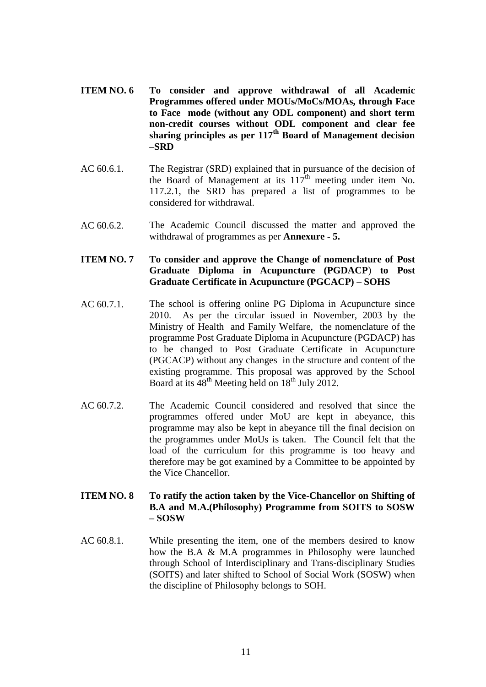- **ITEM NO. 6 To consider and approve withdrawal of all Academic Programmes offered under MOUs/MoCs/MOAs, through Face to Face mode (without any ODL component) and short term non-credit courses without ODL component and clear fee sharing principles as per 117th Board of Management decision –SRD**
- AC 60.6.1. The Registrar (SRD) explained that in pursuance of the decision of the Board of Management at its  $117<sup>th</sup>$  meeting under item No. 117.2.1, the SRD has prepared a list of programmes to be considered for withdrawal.
- AC 60.6.2. The Academic Council discussed the matter and approved the withdrawal of programmes as per **Annexure - 5.**

# **ITEM NO. 7 To consider and approve the Change of nomenclature of Post Graduate Diploma in Acupuncture (PGDACP**) **to Post Graduate Certificate in Acupuncture (PGCACP) – SOHS**

- AC 60.7.1. The school is offering online PG Diploma in Acupuncture since 2010. As per the circular issued in November, 2003 by the Ministry of Health and Family Welfare, the nomenclature of the programme Post Graduate Diploma in Acupuncture (PGDACP) has to be changed to Post Graduate Certificate in Acupuncture (PGCACP) without any changes in the structure and content of the existing programme. This proposal was approved by the School Board at its  $48<sup>th</sup>$  Meeting held on  $18<sup>th</sup>$  July 2012.
- AC 60.7.2. The Academic Council considered and resolved that since the programmes offered under MoU are kept in abeyance, this programme may also be kept in abeyance till the final decision on the programmes under MoUs is taken. The Council felt that the load of the curriculum for this programme is too heavy and therefore may be got examined by a Committee to be appointed by the Vice Chancellor.

#### **ITEM NO. 8 To ratify the action taken by the Vice-Chancellor on Shifting of B.A and M.A.(Philosophy) Programme from SOITS to SOSW – SOSW**

AC 60.8.1. While presenting the item, one of the members desired to know how the B.A & M.A programmes in Philosophy were launched through School of Interdisciplinary and Trans-disciplinary Studies (SOITS) and later shifted to School of Social Work (SOSW) when the discipline of Philosophy belongs to SOH.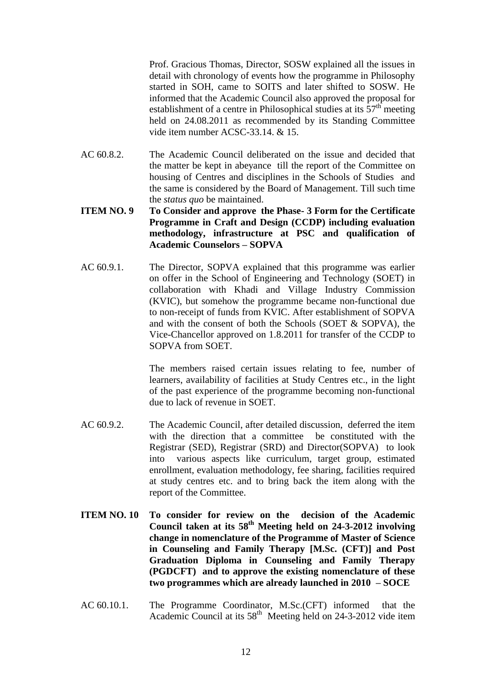Prof. Gracious Thomas, Director, SOSW explained all the issues in detail with chronology of events how the programme in Philosophy started in SOH, came to SOITS and later shifted to SOSW. He informed that the Academic Council also approved the proposal for establishment of a centre in Philosophical studies at its  $57<sup>th</sup>$  meeting held on 24.08.2011 as recommended by its Standing Committee vide item number ACSC-33.14. & 15.

- AC 60.8.2. The Academic Council deliberated on the issue and decided that the matter be kept in abeyance till the report of the Committee on housing of Centres and disciplines in the Schools of Studies and the same is considered by the Board of Management. Till such time the *status quo* be maintained.
- **ITEM NO. 9 To Consider and approve the Phase- 3 Form for the Certificate Programme in Craft and Design (CCDP) including evaluation methodology, infrastructure at PSC and qualification of Academic Counselors – SOPVA**
- AC 60.9.1. The Director, SOPVA explained that this programme was earlier on offer in the School of Engineering and Technology (SOET) in collaboration with Khadi and Village Industry Commission (KVIC), but somehow the programme became non-functional due to non-receipt of funds from KVIC. After establishment of SOPVA and with the consent of both the Schools (SOET & SOPVA), the Vice-Chancellor approved on 1.8.2011 for transfer of the CCDP to SOPVA from SOET.

The members raised certain issues relating to fee, number of learners, availability of facilities at Study Centres etc., in the light of the past experience of the programme becoming non-functional due to lack of revenue in SOET.

- AC 60.9.2. The Academic Council, after detailed discussion, deferred the item with the direction that a committee be constituted with the Registrar (SED), Registrar (SRD) and Director(SOPVA) to look into various aspects like curriculum, target group, estimated enrollment, evaluation methodology, fee sharing, facilities required at study centres etc. and to bring back the item along with the report of the Committee.
- **ITEM NO. 10 To consider for review on the decision of the Academic Council taken at its 58th Meeting held on 24-3-2012 involving change in nomenclature of the Programme of Master of Science in Counseling and Family Therapy [M.Sc. (CFT)] and Post Graduation Diploma in Counseling and Family Therapy (PGDCFT) and to approve the existing nomenclature of these two programmes which are already launched in 2010 – SOCE**
- AC 60.10.1. The Programme Coordinator, M.Sc.(CFT) informed that the Academic Council at its  $58<sup>th</sup>$  Meeting held on 24-3-2012 vide item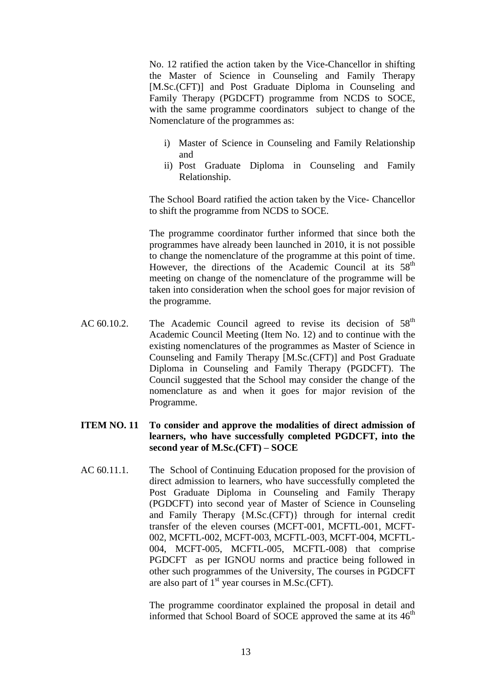No. 12 ratified the action taken by the Vice-Chancellor in shifting the Master of Science in Counseling and Family Therapy [M.Sc.(CFT)] and Post Graduate Diploma in Counseling and Family Therapy (PGDCFT) programme from NCDS to SOCE, with the same programme coordinators subject to change of the Nomenclature of the programmes as:

- i) Master of Science in Counseling and Family Relationship and
- ii) Post Graduate Diploma in Counseling and Family Relationship.

The School Board ratified the action taken by the Vice- Chancellor to shift the programme from NCDS to SOCE.

The programme coordinator further informed that since both the programmes have already been launched in 2010, it is not possible to change the nomenclature of the programme at this point of time. However, the directions of the Academic Council at its  $58<sup>th</sup>$ meeting on change of the nomenclature of the programme will be taken into consideration when the school goes for major revision of the programme.

AC 60.10.2. The Academic Council agreed to revise its decision of  $58<sup>th</sup>$ Academic Council Meeting (Item No. 12) and to continue with the existing nomenclatures of the programmes as Master of Science in Counseling and Family Therapy [M.Sc.(CFT)] and Post Graduate Diploma in Counseling and Family Therapy (PGDCFT). The Council suggested that the School may consider the change of the nomenclature as and when it goes for major revision of the Programme.

# **ITEM NO. 11 To consider and approve the modalities of direct admission of learners, who have successfully completed PGDCFT, into the second year of M.Sc.(CFT) – SOCE**

AC 60.11.1. The School of Continuing Education proposed for the provision of direct admission to learners, who have successfully completed the Post Graduate Diploma in Counseling and Family Therapy (PGDCFT) into second year of Master of Science in Counseling and Family Therapy {M.Sc.(CFT)} through for internal credit transfer of the eleven courses (MCFT-001, MCFTL-001, MCFT-002, MCFTL-002, MCFT-003, MCFTL-003, MCFT-004, MCFTL-004, MCFT-005, MCFTL-005, MCFTL-008) that comprise PGDCFT as per IGNOU norms and practice being followed in other such programmes of the University, The courses in PGDCFT are also part of  $1<sup>st</sup>$  year courses in M.Sc.(CFT).

> The programme coordinator explained the proposal in detail and informed that School Board of SOCE approved the same at its  $46<sup>th</sup>$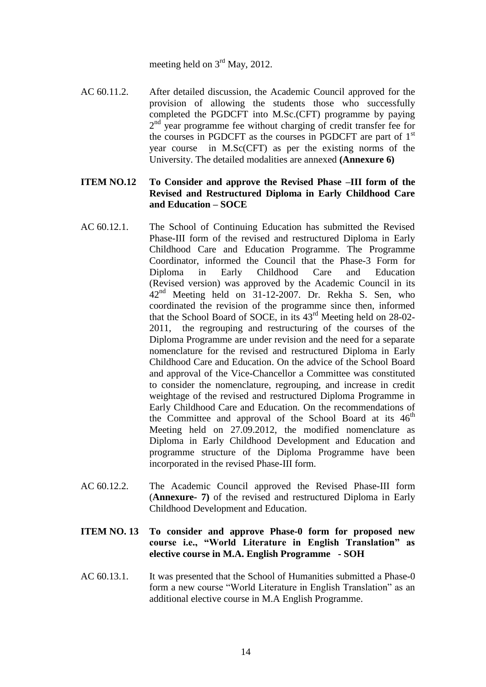meeting held on  $3<sup>rd</sup>$  May, 2012.

AC 60.11.2. After detailed discussion, the Academic Council approved for the provision of allowing the students those who successfully completed the PGDCFT into M.Sc.(CFT) programme by paying 2<sup>nd</sup> year programme fee without charging of credit transfer fee for the courses in PGDCFT as the courses in PGDCFT are part of 1<sup>st</sup> year course in M.Sc(CFT) as per the existing norms of the University. The detailed modalities are annexed **(Annexure 6)**

#### **ITEM NO.12 To Consider and approve the Revised Phase –III form of the Revised and Restructured Diploma in Early Childhood Care and Education – SOCE**

- AC 60.12.1. The School of Continuing Education has submitted the Revised Phase-III form of the revised and restructured Diploma in Early Childhood Care and Education Programme. The Programme Coordinator, informed the Council that the Phase-3 Form for Diploma in Early Childhood Care and Education (Revised version) was approved by the Academic Council in its  $42<sup>nd</sup>$  Meeting held on 31-12-2007. Dr. Rekha S. Sen, who coordinated the revision of the programme since then, informed that the School Board of SOCE, in its 43rd Meeting held on 28-02- 2011, the regrouping and restructuring of the courses of the Diploma Programme are under revision and the need for a separate nomenclature for the revised and restructured Diploma in Early Childhood Care and Education. On the advice of the School Board and approval of the Vice-Chancellor a Committee was constituted to consider the nomenclature, regrouping, and increase in credit weightage of the revised and restructured Diploma Programme in Early Childhood Care and Education. On the recommendations of the Committee and approval of the School Board at its  $46<sup>th</sup>$ Meeting held on 27.09.2012, the modified nomenclature as Diploma in Early Childhood Development and Education and programme structure of the Diploma Programme have been incorporated in the revised Phase-III form.
- AC 60.12.2. The Academic Council approved the Revised Phase-III form (**Annexure- 7)** of the revised and restructured Diploma in Early Childhood Development and Education.
- **ITEM NO. 13 To consider and approve Phase-0 form for proposed new course i.e., "World Literature in English Translation" as elective course in M.A. English Programme - SOH**
- AC 60.13.1. It was presented that the School of Humanities submitted a Phase-0 form a new course "World Literature in English Translation" as an additional elective course in M.A English Programme.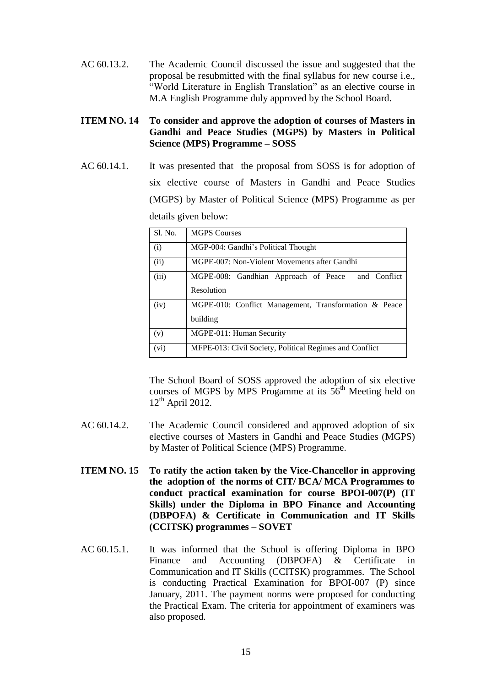AC 60.13.2. The Academic Council discussed the issue and suggested that the proposal be resubmitted with the final syllabus for new course i.e., "World Literature in English Translation" as an elective course in M.A English Programme duly approved by the School Board.

# **ITEM NO. 14 To consider and approve the adoption of courses of Masters in Gandhi and Peace Studies (MGPS) by Masters in Political Science (MPS) Programme – SOSS**

AC 60.14.1. It was presented that the proposal from SOSS is for adoption of six elective course of Masters in Gandhi and Peace Studies (MGPS) by Master of Political Science (MPS) Programme as per details given below:

| Sl. No. | <b>MGPS Courses</b>                                     |  |  |
|---------|---------------------------------------------------------|--|--|
| (i)     | MGP-004: Gandhi's Political Thought                     |  |  |
| (ii)    | MGPE-007: Non-Violent Movements after Gandhi            |  |  |
| (iii)   | MGPE-008: Gandhian Approach of Peace<br>and Conflict    |  |  |
|         | Resolution                                              |  |  |
| (iv)    | MGPE-010: Conflict Management, Transformation & Peace   |  |  |
|         | building                                                |  |  |
| (v)     | MGPE-011: Human Security                                |  |  |
| (vi)    | MFPE-013: Civil Society, Political Regimes and Conflict |  |  |

The School Board of SOSS approved the adoption of six elective courses of MGPS by MPS Progamme at its  $56<sup>th</sup>$  Meeting held on  $12<sup>th</sup>$  April 2012.

- AC 60.14.2. The Academic Council considered and approved adoption of six elective courses of Masters in Gandhi and Peace Studies (MGPS) by Master of Political Science (MPS) Programme.
- **ITEM NO. 15 To ratify the action taken by the Vice-Chancellor in approving the adoption of the norms of CIT/ BCA/ MCA Programmes to conduct practical examination for course BPOI-007(P) (IT Skills) under the Diploma in BPO Finance and Accounting (DBPOFA) & Certificate in Communication and IT Skills (CCITSK) programmes – SOVET**
- AC 60.15.1. It was informed that the School is offering Diploma in BPO Finance and Accounting (DBPOFA) & Certificate in Communication and IT Skills (CCITSK) programmes. The School is conducting Practical Examination for BPOI-007 (P) since January, 2011. The payment norms were proposed for conducting the Practical Exam. The criteria for appointment of examiners was also proposed.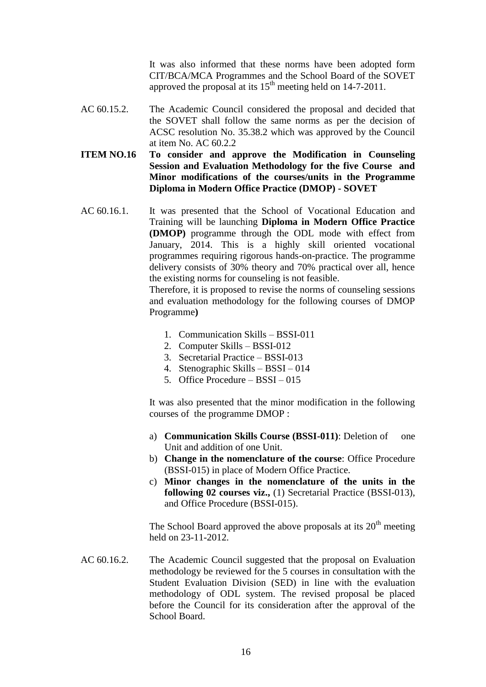It was also informed that these norms have been adopted form CIT/BCA/MCA Programmes and the School Board of the SOVET approved the proposal at its  $15<sup>th</sup>$  meeting held on 14-7-2011.

- AC 60.15.2. The Academic Council considered the proposal and decided that the SOVET shall follow the same norms as per the decision of ACSC resolution No. 35.38.2 which was approved by the Council at item No. AC 60.2.2
- **ITEM NO.16 To consider and approve the Modification in Counseling Session and Evaluation Methodology for the five Course and Minor modifications of the courses/units in the Programme Diploma in Modern Office Practice (DMOP) - SOVET**
- AC 60.16.1. It was presented that the School of Vocational Education and Training will be launching **Diploma in Modern Office Practice (DMOP)** programme through the ODL mode with effect from January, 2014. This is a highly skill oriented vocational programmes requiring rigorous hands-on-practice. The programme delivery consists of 30% theory and 70% practical over all, hence the existing norms for counseling is not feasible.

Therefore, it is proposed to revise the norms of counseling sessions and evaluation methodology for the following courses of DMOP Programme**)**

- 1. Communication Skills BSSI-011
- 2. Computer Skills BSSI-012
- 3. Secretarial Practice BSSI-013
- 4. Stenographic Skills BSSI 014
- 5. Office Procedure BSSI 015

It was also presented that the minor modification in the following courses of the programme DMOP :

- a) **Communication Skills Course (BSSI-011)**: Deletion of one Unit and addition of one Unit.
- b) **Change in the nomenclature of the course**: Office Procedure (BSSI-015) in place of Modern Office Practice.
- c) **Minor changes in the nomenclature of the units in the following 02 courses viz.,** (1) Secretarial Practice (BSSI-013), and Office Procedure (BSSI-015).

The School Board approved the above proposals at its  $20<sup>th</sup>$  meeting held on 23-11-2012.

AC 60.16.2. The Academic Council suggested that the proposal on Evaluation methodology be reviewed for the 5 courses in consultation with the Student Evaluation Division (SED) in line with the evaluation methodology of ODL system. The revised proposal be placed before the Council for its consideration after the approval of the School Board.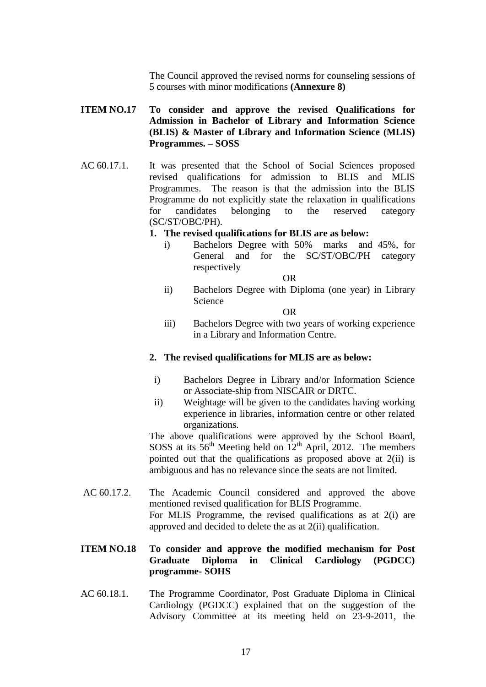The Council approved the revised norms for counseling sessions of 5 courses with minor modifications **(Annexure 8)**

# **ITEM NO.17 To consider and approve the revised Qualifications for Admission in Bachelor of Library and Information Science (BLIS) & Master of Library and Information Science (MLIS) Programmes. – SOSS**

AC 60.17.1. It was presented that the School of Social Sciences proposed revised qualifications for admission to BLIS and MLIS Programmes. The reason is that the admission into the BLIS Programme do not explicitly state the relaxation in qualifications for candidates belonging to the reserved category (SC/ST/OBC/PH).

#### **1. The revised qualifications for BLIS are as below:**

i) Bachelors Degree with 50% marks and 45%, for General and for the SC/ST/OBC/PH category respectively

OR

ii) Bachelors Degree with Diploma (one year) in Library Science

OR

iii) Bachelors Degree with two years of working experience in a Library and Information Centre.

#### **2. The revised qualifications for MLIS are as below:**

- i) Bachelors Degree in Library and/or Information Science or Associate-ship from NISCAIR or DRTC.
- ii) Weightage will be given to the candidates having working experience in libraries, information centre or other related organizations.

The above qualifications were approved by the School Board, SOSS at its  $56<sup>th</sup>$  Meeting held on  $12<sup>th</sup>$  April, 2012. The members pointed out that the qualifications as proposed above at 2(ii) is ambiguous and has no relevance since the seats are not limited.

AC 60.17.2. The Academic Council considered and approved the above mentioned revised qualification for BLIS Programme. For MLIS Programme, the revised qualifications as at 2(i) are approved and decided to delete the as at 2(ii) qualification.

### **ITEM NO.18 To consider and approve the modified mechanism for Post Graduate Diploma in Clinical Cardiology (PGDCC) programme- SOHS**

AC 60.18.1. The Programme Coordinator, Post Graduate Diploma in Clinical Cardiology (PGDCC) explained that on the suggestion of the Advisory Committee at its meeting held on 23-9-2011, the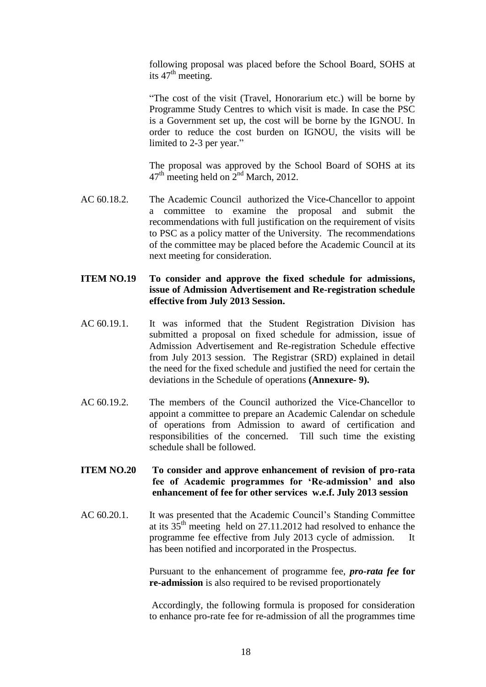following proposal was placed before the School Board, SOHS at its  $47<sup>th</sup>$  meeting.

"The cost of the visit (Travel, Honorarium etc.) will be borne by Programme Study Centres to which visit is made. In case the PSC is a Government set up, the cost will be borne by the IGNOU. In order to reduce the cost burden on IGNOU, the visits will be limited to 2-3 per year."

The proposal was approved by the School Board of SOHS at its  $47<sup>th</sup>$  meeting held on  $2<sup>nd</sup>$  March, 2012.

AC 60.18.2. The Academic Council authorized the Vice-Chancellor to appoint a committee to examine the proposal and submit the recommendations with full justification on the requirement of visits to PSC as a policy matter of the University. The recommendations of the committee may be placed before the Academic Council at its next meeting for consideration.

# **ITEM NO.19 To consider and approve the fixed schedule for admissions, issue of Admission Advertisement and Re-registration schedule effective from July 2013 Session.**

- AC 60.19.1. It was informed that the Student Registration Division has submitted a proposal on fixed schedule for admission, issue of Admission Advertisement and Re-registration Schedule effective from July 2013 session. The Registrar (SRD) explained in detail the need for the fixed schedule and justified the need for certain the deviations in the Schedule of operations **(Annexure- 9).**
- AC 60.19.2. The members of the Council authorized the Vice-Chancellor to appoint a committee to prepare an Academic Calendar on schedule of operations from Admission to award of certification and responsibilities of the concerned. Till such time the existing schedule shall be followed.

### **ITEM NO.20 To consider and approve enhancement of revision of pro-rata fee of Academic programmes for 'Re-admission' and also enhancement of fee for other services w.e.f. July 2013 session**

AC 60.20.1. It was presented that the Academic Council's Standing Committee at its 35th meeting held on 27.11.2012 had resolved to enhance the programme fee effective from July 2013 cycle of admission. It has been notified and incorporated in the Prospectus.

> Pursuant to the enhancement of programme fee, *pro-rata fee* **for re-admission** is also required to be revised proportionately

> Accordingly, the following formula is proposed for consideration to enhance pro-rate fee for re-admission of all the programmes time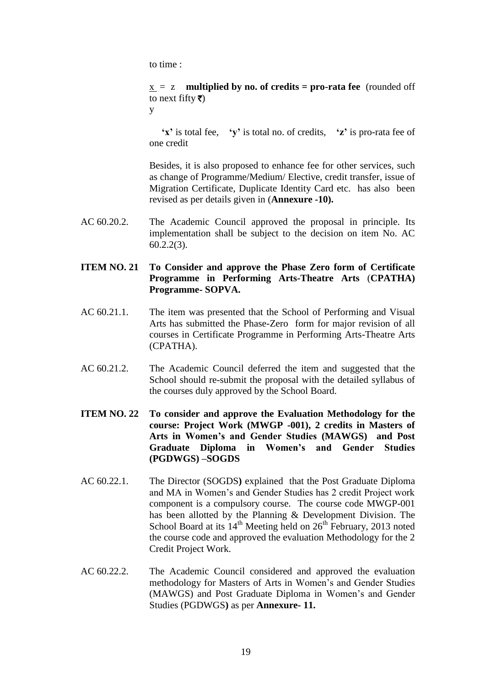to time :

x = z **multiplied by no. of credits = pro-rata fee** (rounded off to next fifty  $\bar{\tau}$ )

y

 **'x'** is total fee, **'y'** is total no. of credits, **'z'** is pro-rata fee of one credit

Besides, it is also proposed to enhance fee for other services, such as change of Programme/Medium/ Elective, credit transfer, issue of Migration Certificate, Duplicate Identity Card etc. has also been revised as per details given in (**Annexure -10).**

- AC 60.20.2. The Academic Council approved the proposal in principle. Its implementation shall be subject to the decision on item No. AC 60.2.2(3).
- **ITEM NO. 21 To Consider and approve the Phase Zero form of Certificate Programme in Performing Arts-Theatre Arts** (**CPATHA) Programme- SOPVA.**
- AC 60.21.1. The item was presented that the School of Performing and Visual Arts has submitted the Phase-Zero form for major revision of all courses in Certificate Programme in Performing Arts-Theatre Arts (CPATHA).
- AC 60.21.2. The Academic Council deferred the item and suggested that the School should re-submit the proposal with the detailed syllabus of the courses duly approved by the School Board.
- **ITEM NO. 22 To consider and approve the Evaluation Methodology for the course: Project Work (MWGP -001), 2 credits in Masters of Arts in Women's and Gender Studies (MAWGS) and Post Graduate Diploma in Women's and Gender Studies (PGDWGS) –SOGDS**
- AC 60.22.1. The Director (SOGDS**)** explained that the Post Graduate Diploma and MA in Women's and Gender Studies has 2 credit Project work component is a compulsory course. The course code MWGP-001 has been allotted by the Planning & Development Division. The School Board at its  $14<sup>th</sup>$  Meeting held on  $26<sup>th</sup>$  February, 2013 noted the course code and approved the evaluation Methodology for the 2 Credit Project Work.
- AC 60.22.2. The Academic Council considered and approved the evaluation methodology for Masters of Arts in Women's and Gender Studies (MAWGS) and Post Graduate Diploma in Women's and Gender Studies (PGDWGS**)** as per **Annexure- 11.**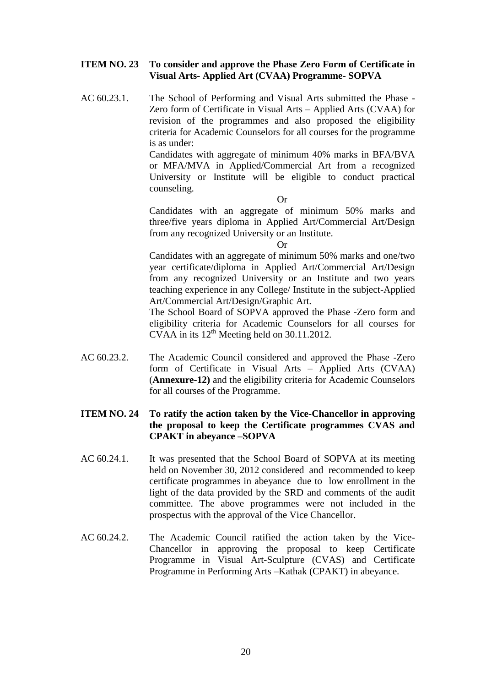#### **ITEM NO. 23 To consider and approve the Phase Zero Form of Certificate in Visual Arts- Applied Art (CVAA) Programme- SOPVA**

AC 60.23.1. The School of Performing and Visual Arts submitted the Phase - Zero form of Certificate in Visual Arts – Applied Arts (CVAA) for revision of the programmes and also proposed the eligibility criteria for Academic Counselors for all courses for the programme is as under:

> Candidates with aggregate of minimum 40% marks in BFA/BVA or MFA/MVA in Applied/Commercial Art from a recognized University or Institute will be eligible to conduct practical counseling.

> > Or

Candidates with an aggregate of minimum 50% marks and three/five years diploma in Applied Art/Commercial Art/Design from any recognized University or an Institute.

#### Or

Candidates with an aggregate of minimum 50% marks and one/two year certificate/diploma in Applied Art/Commercial Art/Design from any recognized University or an Institute and two years teaching experience in any College/ Institute in the subject-Applied Art/Commercial Art/Design/Graphic Art.

The School Board of SOPVA approved the Phase -Zero form and eligibility criteria for Academic Counselors for all courses for CVAA in its  $12<sup>th</sup>$  Meeting held on 30.11.2012.

AC 60.23.2. The Academic Council considered and approved the Phase -Zero form of Certificate in Visual Arts – Applied Arts (CVAA) (**Annexure-12)** and the eligibility criteria for Academic Counselors for all courses of the Programme.

#### **ITEM NO. 24 To ratify the action taken by the Vice-Chancellor in approving the proposal to keep the Certificate programmes CVAS and CPAKT in abeyance –SOPVA**

- AC 60.24.1. It was presented that the School Board of SOPVA at its meeting held on November 30, 2012 considered and recommended to keep certificate programmes in abeyance due to low enrollment in the light of the data provided by the SRD and comments of the audit committee. The above programmes were not included in the prospectus with the approval of the Vice Chancellor.
- AC 60.24.2. The Academic Council ratified the action taken by the Vice-Chancellor in approving the proposal to keep Certificate Programme in Visual Art-Sculpture (CVAS) and Certificate Programme in Performing Arts –Kathak (CPAKT) in abeyance.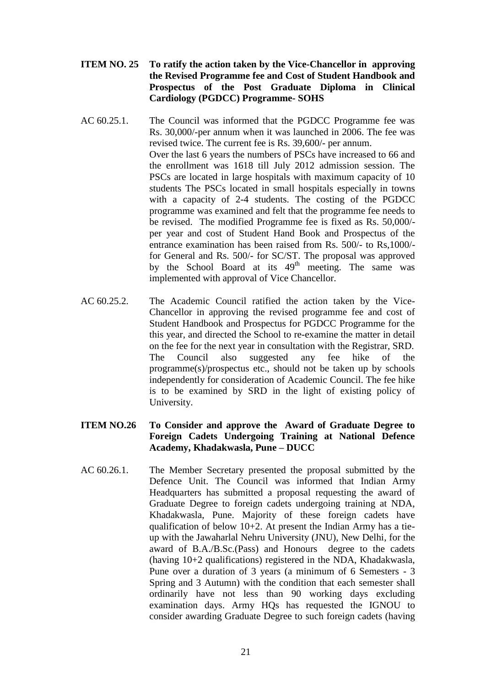- **ITEM NO. 25 To ratify the action taken by the Vice-Chancellor in approving the Revised Programme fee and Cost of Student Handbook and Prospectus of the Post Graduate Diploma in Clinical Cardiology (PGDCC) Programme- SOHS**
- AC 60.25.1. The Council was informed that the PGDCC Programme fee was Rs. 30,000/-per annum when it was launched in 2006. The fee was revised twice. The current fee is Rs. 39,600/- per annum. Over the last 6 years the numbers of PSCs have increased to 66 and the enrollment was 1618 till July 2012 admission session. The PSCs are located in large hospitals with maximum capacity of 10 students The PSCs located in small hospitals especially in towns with a capacity of 2-4 students. The costing of the PGDCC programme was examined and felt that the programme fee needs to be revised. The modified Programme fee is fixed as Rs. 50,000/ per year and cost of Student Hand Book and Prospectus of the entrance examination has been raised from Rs. 500/- to Rs,1000/ for General and Rs. 500/- for SC/ST. The proposal was approved by the School Board at its  $49<sup>th</sup>$  meeting. The same was implemented with approval of Vice Chancellor.
- AC 60.25.2. The Academic Council ratified the action taken by the Vice-Chancellor in approving the revised programme fee and cost of Student Handbook and Prospectus for PGDCC Programme for the this year, and directed the School to re-examine the matter in detail on the fee for the next year in consultation with the Registrar, SRD. The Council also suggested any fee hike of the programme(s)/prospectus etc., should not be taken up by schools independently for consideration of Academic Council. The fee hike is to be examined by SRD in the light of existing policy of University.

# **ITEM NO.26 To Consider and approve the Award of Graduate Degree to Foreign Cadets Undergoing Training at National Defence Academy, Khadakwasla, Pune – DUCC**

AC 60.26.1. The Member Secretary presented the proposal submitted by the Defence Unit. The Council was informed that Indian Army Headquarters has submitted a proposal requesting the award of Graduate Degree to foreign cadets undergoing training at NDA, Khadakwasla, Pune. Majority of these foreign cadets have qualification of below 10+2. At present the Indian Army has a tieup with the Jawaharlal Nehru University (JNU), New Delhi, for the award of B.A./B.Sc.(Pass) and Honours degree to the cadets (having 10+2 qualifications) registered in the NDA, Khadakwasla, Pune over a duration of 3 years (a minimum of 6 Semesters - 3 Spring and 3 Autumn) with the condition that each semester shall ordinarily have not less than 90 working days excluding examination days. Army HQs has requested the IGNOU to consider awarding Graduate Degree to such foreign cadets (having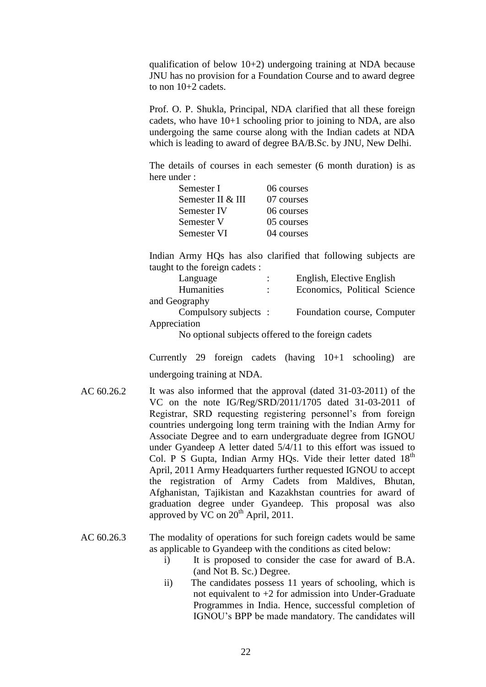qualification of below 10+2) undergoing training at NDA because JNU has no provision for a Foundation Course and to award degree to non  $10+2$  cadets.

Prof. O. P. Shukla, Principal, NDA clarified that all these foreign cadets, who have 10+1 schooling prior to joining to NDA, are also undergoing the same course along with the Indian cadets at NDA which is leading to award of degree BA/B.Sc. by JNU, New Delhi.

The details of courses in each semester (6 month duration) is as here under :

| Semester I        | 06 courses |
|-------------------|------------|
| Semester II & III | 07 courses |
| Semester IV       | 06 courses |
| Semester V        | 05 courses |
| Semester VI       | 04 courses |

Indian Army HQs has also clarified that following subjects are taught to the foreign cadets :

| Language                                                           |  | English, Elective English    |  |
|--------------------------------------------------------------------|--|------------------------------|--|
| Humanities                                                         |  | Economics, Political Science |  |
| and Geography                                                      |  |                              |  |
| Compulsory subjects:                                               |  | Foundation course, Computer  |  |
| Appreciation                                                       |  |                              |  |
| $\mathbf{M}$ , and such and to see affect density function as deep |  |                              |  |

No optional subjects offered to the foreign cadets

Currently 29 foreign cadets (having 10+1 schooling) are undergoing training at NDA.

AC 60.26.2 It was also informed that the approval (dated 31-03-2011) of the VC on the note IG/Reg/SRD/2011/1705 dated 31-03-2011 of Registrar, SRD requesting registering personnel's from foreign countries undergoing long term training with the Indian Army for Associate Degree and to earn undergraduate degree from IGNOU under Gyandeep A letter dated 5/4/11 to this effort was issued to Col. P S Gupta, Indian Army HQs. Vide their letter dated 18<sup>th</sup> April, 2011 Army Headquarters further requested IGNOU to accept the registration of Army Cadets from Maldives, Bhutan, Afghanistan, Tajikistan and Kazakhstan countries for award of graduation degree under Gyandeep. This proposal was also approved by VC on  $20<sup>th</sup>$  April, 2011.

AC 60.26.3 The modality of operations for such foreign cadets would be same as applicable to Gyandeep with the conditions as cited below:

- i) It is proposed to consider the case for award of B.A. (and Not B. Sc.) Degree.
- ii) The candidates possess 11 years of schooling, which is not equivalent to  $+2$  for admission into Under-Graduate Programmes in India. Hence, successful completion of IGNOU's BPP be made mandatory. The candidates will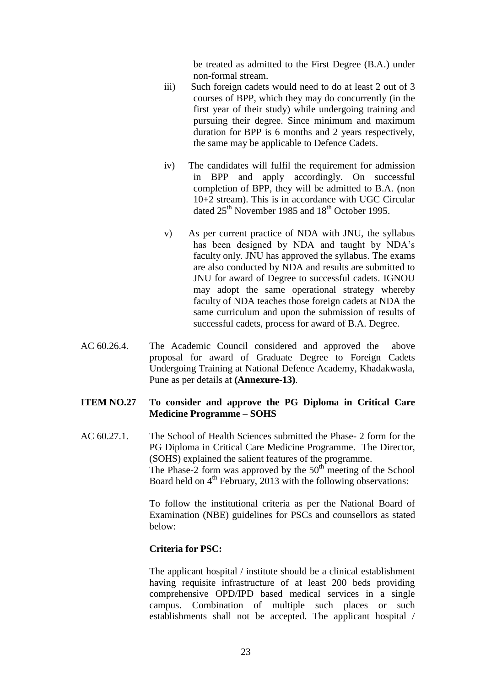be treated as admitted to the First Degree (B.A.) under non-formal stream.

- iii) Such foreign cadets would need to do at least 2 out of 3 courses of BPP, which they may do concurrently (in the first year of their study) while undergoing training and pursuing their degree. Since minimum and maximum duration for BPP is 6 months and 2 years respectively, the same may be applicable to Defence Cadets.
- iv) The candidates will fulfil the requirement for admission in BPP and apply accordingly. On successful completion of BPP, they will be admitted to B.A. (non 10+2 stream). This is in accordance with UGC Circular dated  $25<sup>th</sup>$  November 1985 and  $18<sup>th</sup>$  October 1995.
- v) As per current practice of NDA with JNU, the syllabus has been designed by NDA and taught by NDA's faculty only. JNU has approved the syllabus. The exams are also conducted by NDA and results are submitted to JNU for award of Degree to successful cadets. IGNOU may adopt the same operational strategy whereby faculty of NDA teaches those foreign cadets at NDA the same curriculum and upon the submission of results of successful cadets, process for award of B.A. Degree.
- AC 60.26.4. The Academic Council considered and approved the above proposal for award of Graduate Degree to Foreign Cadets Undergoing Training at National Defence Academy, Khadakwasla, Pune as per details at **(Annexure-13)**.

# **ITEM NO.27 To consider and approve the PG Diploma in Critical Care Medicine Programme – SOHS**

AC 60.27.1. The School of Health Sciences submitted the Phase- 2 form for the PG Diploma in Critical Care Medicine Programme. The Director, (SOHS) explained the salient features of the programme. The Phase-2 form was approved by the  $50<sup>th</sup>$  meeting of the School Board held on  $4<sup>th</sup>$  February, 2013 with the following observations:

> To follow the institutional criteria as per the National Board of Examination (NBE) guidelines for PSCs and counsellors as stated below:

## **Criteria for PSC:**

The applicant hospital / institute should be a clinical establishment having requisite infrastructure of at least 200 beds providing comprehensive OPD/IPD based medical services in a single campus. Combination of multiple such places or such establishments shall not be accepted. The applicant hospital /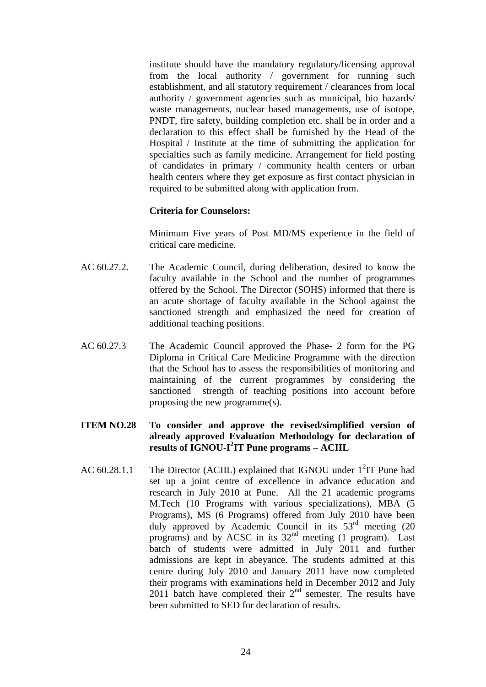institute should have the mandatory regulatory/licensing approval from the local authority / government for running such establishment, and all statutory requirement / clearances from local authority / government agencies such as municipal, bio hazards/ waste managements, nuclear based managements, use of isotope, PNDT, fire safety, building completion etc. shall be in order and a declaration to this effect shall be furnished by the Head of the Hospital / Institute at the time of submitting the application for specialties such as family medicine. Arrangement for field posting of candidates in primary / community health centers or urban health centers where they get exposure as first contact physician in required to be submitted along with application from.

#### **Criteria for Counselors:**

Minimum Five years of Post MD/MS experience in the field of critical care medicine.

- AC 60.27.2. The Academic Council, during deliberation, desired to know the faculty available in the School and the number of programmes offered by the School. The Director (SOHS) informed that there is an acute shortage of faculty available in the School against the sanctioned strength and emphasized the need for creation of additional teaching positions.
- AC 60.27.3 The Academic Council approved the Phase- 2 form for the PG Diploma in Critical Care Medicine Programme with the direction that the School has to assess the responsibilities of monitoring and maintaining of the current programmes by considering the sanctioned strength of teaching positions into account before proposing the new programme(s).

# **ITEM NO.28 To consider and approve the revised/simplified version of already approved Evaluation Methodology for declaration of results of IGNOU-I 2 IT Pune programs – ACIIL**

AC  $60.28.1.1$  The Director (ACIIL) explained that IGNOU under  $1<sup>2</sup>$ IT Pune had set up a joint centre of excellence in advance education and research in July 2010 at Pune. All the 21 academic programs M.Tech (10 Programs with various specializations), MBA (5 Programs), MS (6 Programs) offered from July 2010 have been duly approved by Academic Council in its 53<sup>rd</sup> meeting (20 programs) and by ACSC in its  $32<sup>nd</sup>$  meeting (1 program). Last batch of students were admitted in July 2011 and further admissions are kept in abeyance. The students admitted at this centre during July 2010 and January 2011 have now completed their programs with examinations held in December 2012 and July 2011 batch have completed their  $2<sup>nd</sup>$  semester. The results have been submitted to SED for declaration of results.